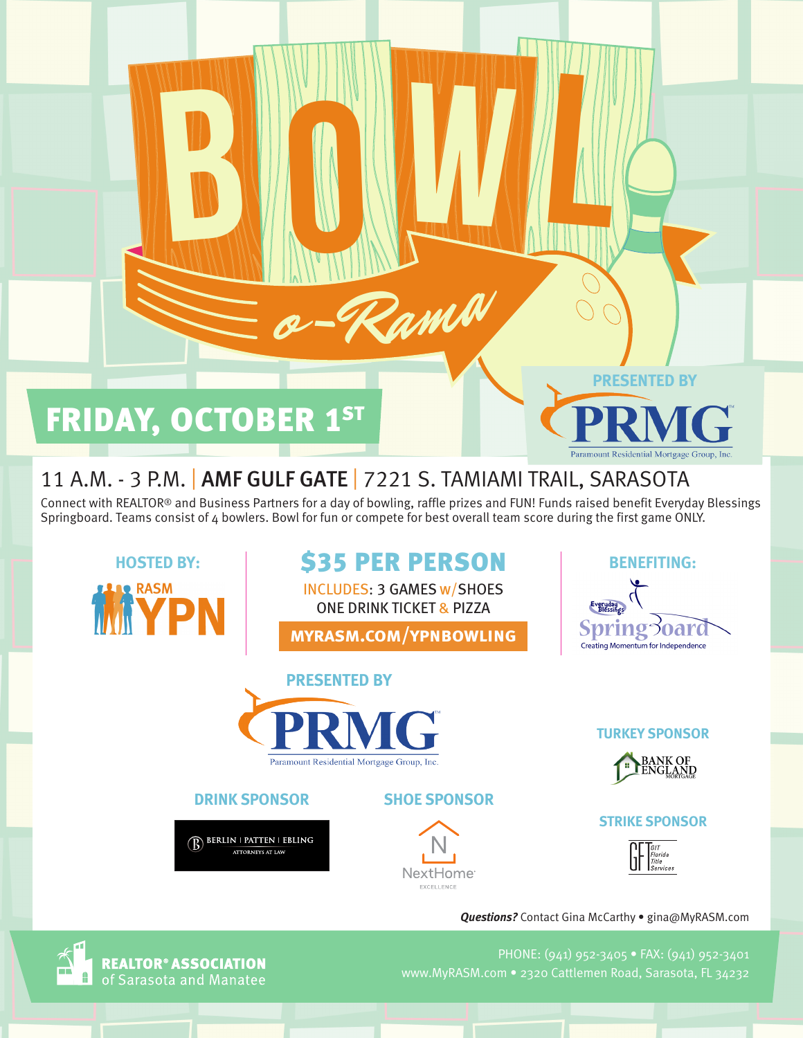# FRIDAY, OCTOBER 1ST

B

## 11 A.M. - 3 P.M. | AMF GULF GATE | 7221 S. TAMIAMI TRAIL, SARASOTA

Connect with REALTOR® and Business Partners for a day of bowling, raffle prizes and FUN! Funds raised benefit Everyday Blessings Springboard. Teams consist of 4 bowlers. Bowl for fun or compete for best overall team score during the first game ONLY.

**BUOYERS** 

Pama

**Le RASM MKYPN** 

# HOSTED BY: **\$35 PER PERSON** BENEFITING:

INCLUDES: 3 GAMES w/SHOES ONE DRINK TICKET & PIZZA

**myrasm.com/ypnbowling**

Everyday **Spring3oard** Creating Momentum for Independence

**PRESENTED BY**

Paramount Residential Mortgage Group, In-



*STRIKE SPONSORS SPARE SPONSORS* **DRINK SPONSOR SHOE SPONSOR**

BERLIN | PATTEN | EBLING **ATTORNEYS AT LAW** 



**TURKEY SPONSOR**



#### **STRIKE SPONSOR**



*Questions?* Contact Gina McCarthy • gina@MyRASM.com

PHONE: (941) 952-3405 • FAX: (941) 952-3401 www.MyRASM.com • 2320 Cattlemen Road, Sarasota, FL 34232



**REALTOR® ASSOCIATION** of Sarasota and Manatee